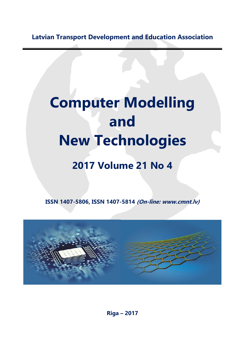**Latvian Transport Development and Education Association**

## **Computer Modelling and New Technologies**

## **2017 Volume 21 No 4**

**ISSN 1407-5806, ISSN 1407-5814 (On-line: www.cmnt.lv)**



**Riga – 2017**